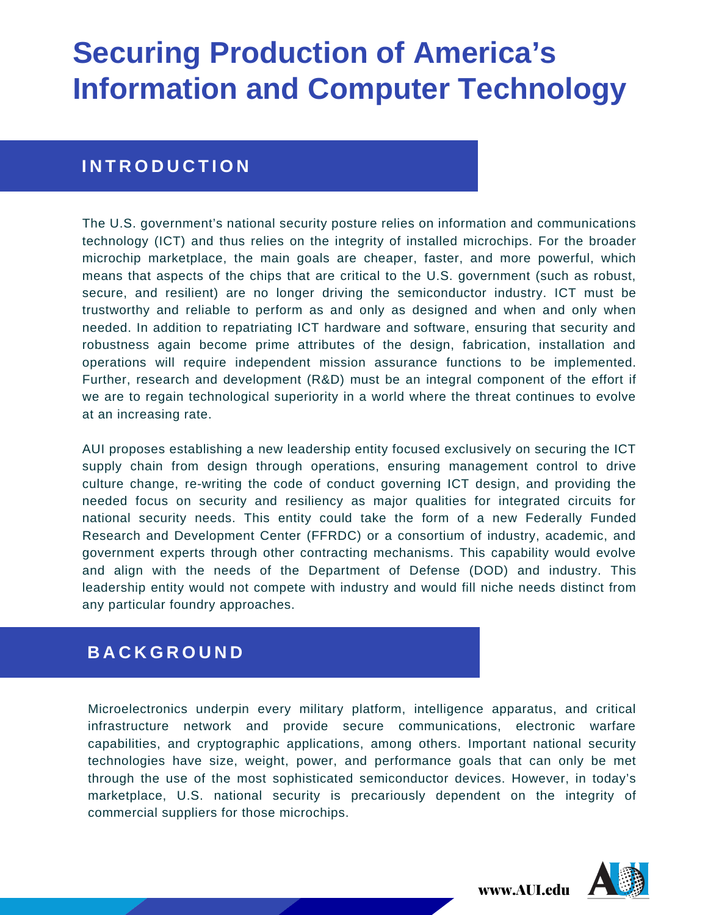#### **I N T R O D U C T I O N**

The U.S. government's national security posture relies on information and communications technology (ICT) and thus relies on the integrity of installed microchips. For the broader microchip marketplace, the main goals are cheaper, faster, and more powerful, which means that aspects of the chips that are critical to the U.S. government (such as robust, secure, and resilient) are no longer driving the semiconductor industry. ICT must be trustworthy and reliable to perform as and only as designed and when and only when needed. In addition to repatriating ICT hardware and software, ensuring that security and robustness again become prime attributes of the design, fabrication, installation and operations will require independent mission assurance functions to be implemented. Further, research and development (R&D) must be an integral component of the effort if we are to regain technological superiority in a world where the threat continues to evolve at an increasing rate.

AUI proposes establishing a new leadership entity focused exclusively on securing the ICT supply chain from design through operations, ensuring management control to drive culture change, re-writing the code of conduct governing ICT design, and providing the needed focus on security and resiliency as major qualities for integrated circuits for national security needs. This entity could take the form of a new Federally Funded Research and Development Center (FFRDC) or a consortium of industry, academic, and government experts through other contracting mechanisms. This capability would evolve and align with the needs of the Department of Defense (DOD) and industry. This leadership entity would not compete with industry and would fill niche needs distinct from any particular foundry approaches.

#### **B A C K G R O U N D**

Microelectronics underpin every military platform, intelligence apparatus, and critical infrastructure network and provide secure communications, electronic warfare capabilities, and cryptographic applications, among others. Important national security technologies have size, weight, power, and performance goals that can only be met through the use of the most sophisticated semiconductor devices. However, in today's marketplace, U.S. national security is precariously dependent on the integrity of commercial suppliers for those microchips.

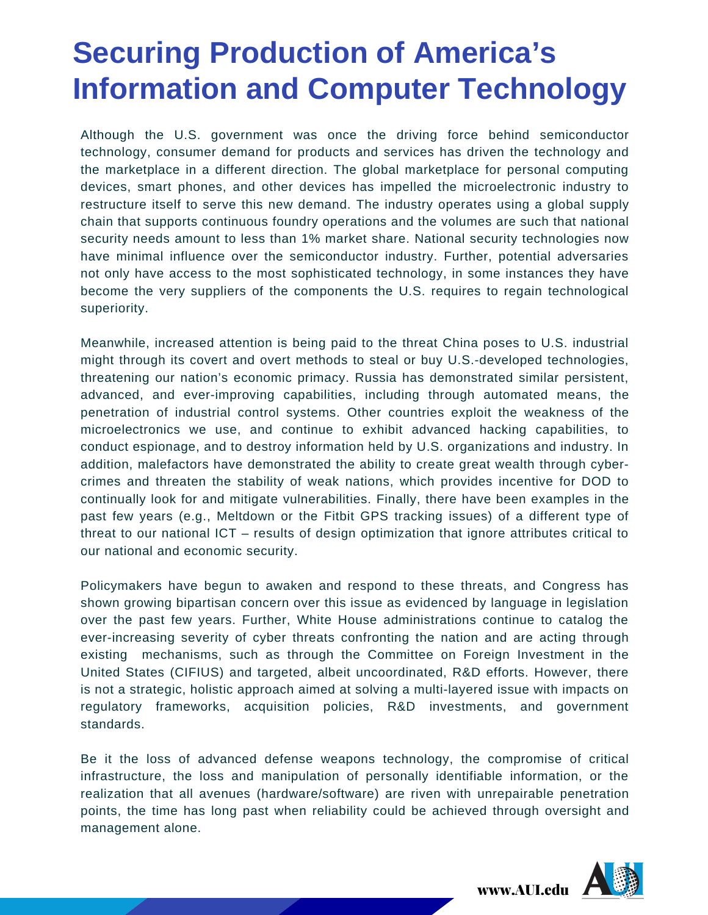Although the U.S. government was once the driving force behind semiconductor technology, consumer demand for products and services has driven the technology and the marketplace in a different direction. The global marketplace for personal computing devices, smart phones, and other devices has impelled the microelectronic industry to restructure itself to serve this new demand. The industry operates using a global supply chain that supports continuous foundry operations and the volumes are such that national security needs amount to less than 1% market share. National security technologies now have minimal influence over the semiconductor industry. Further, potential adversaries not only have access to the most sophisticated technology, in some instances they have become the very suppliers of the components the U.S. requires to regain technological superiority.

Meanwhile, increased attention is being paid to the threat China poses to U.S. industrial might through its covert and overt methods to steal or buy U.S.-developed technologies, threatening our nation's economic primacy. Russia has demonstrated similar persistent, advanced, and ever-improving capabilities, including through automated means, the penetration of industrial control systems. Other countries exploit the weakness of the microelectronics we use, and continue to exhibit advanced hacking capabilities, to conduct espionage, and to destroy information held by U.S. organizations and industry. In addition, malefactors have demonstrated the ability to create great wealth through cybercrimes and threaten the stability of weak nations, which provides incentive for DOD to continually look for and mitigate vulnerabilities. Finally, there have been examples in the past few years (e.g., Meltdown or the Fitbit GPS tracking issues) of a different type of threat to our national ICT – results of design optimization that ignore attributes critical to our national and economic security.

Policymakers have begun to awaken and respond to these threats, and Congress has shown growing bipartisan concern over this issue as evidenced by language in legislation over the past few years. Further, White House administrations continue to catalog the ever-increasing severity of cyber threats confronting the nation and are acting through existing mechanisms, such as through the Committee on Foreign Investment in the United States (CIFIUS) and targeted, albeit uncoordinated, R&D efforts. However, there is not a strategic, holistic approach aimed at solving a multi-layered issue with impacts on regulatory frameworks, acquisition policies, R&D investments, and government standards.

Be it the loss of advanced defense weapons technology, the compromise of critical infrastructure, the loss and manipulation of personally identifiable information, or the realization that all avenues (hardware/software) are riven with unrepairable penetration points, the time has long past when reliability could be achieved through oversight and management alone.

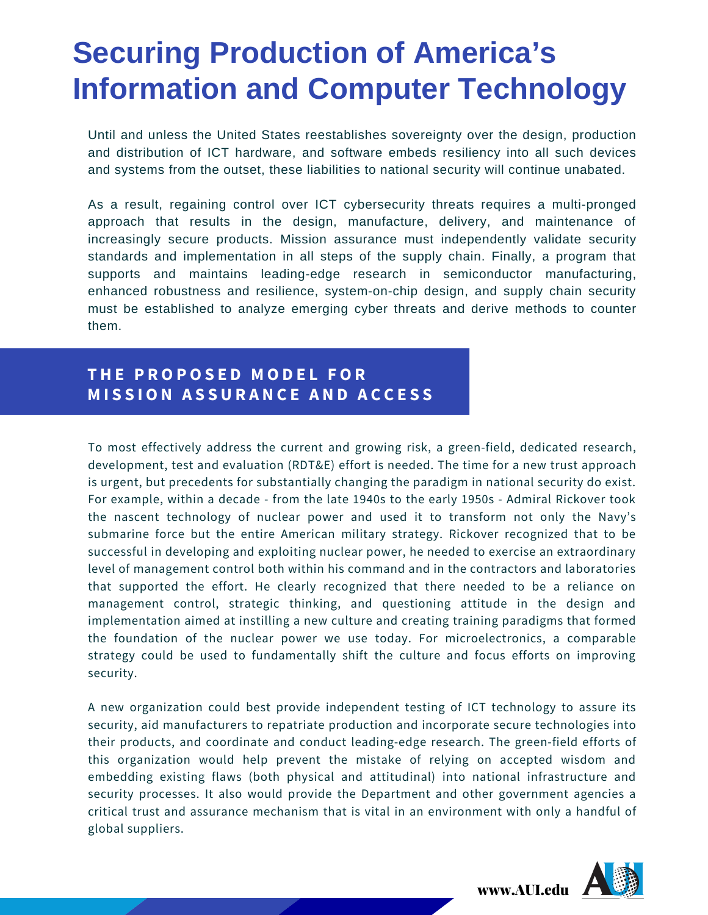Until and unless the United States reestablishes sovereignty over the design, production and distribution of ICT hardware, and software embeds resiliency into all such devices and systems from the outset, these liabilities to national security will continue unabated.

As a result, regaining control over ICT cybersecurity threats requires a multi-pronged approach that results in the design, manufacture, delivery, and maintenance of increasingly secure products. Mission assurance must independently validate security standards and implementation in all steps of the supply chain. Finally, a program that supports and maintains leading-edge research in semiconductor manufacturing, enhanced robustness and resilience, system-on-chip design, and supply chain security must be established to analyze emerging cyber threats and derive methods to counter them.

#### **T H E P R O P O S E D M O D E L F O R M I S S I O N A S S U R A N C E A N D A C C E S S**

To most effectively address the current and growing risk, a green-field, dedicated research, development, test and evaluation (RDT&E) effort is needed. The time for a new trust approach is urgent, but precedents for substantially changing the paradigm in national security do exist. For example, within a decade - from the late 1940s to the early 1950s - Admiral Rickover took the nascent technology of nuclear power and used it to transform not only the Navy's submarine force but the entire American military strategy. Rickover recognized that to be successful in developing and exploiting nuclear power, he needed to exercise an extraordinary level of management control both within his command and in the contractors and laboratories that supported the effort. He clearly recognized that there needed to be a reliance on management control, strategic thinking, and questioning attitude in the design and implementation aimed at instilling a new culture and creating training paradigms that formed the foundation of the nuclear power we use today. For microelectronics, a comparable strategy could be used to fundamentally shift the culture and focus efforts on improving security.

A new organization could best provide independent testing of ICT technology to assure its security, aid manufacturers to repatriate production and incorporate secure technologies into their products, and coordinate and conduct leading-edge research. The green-field efforts of this organization would help prevent the mistake of relying on accepted wisdom and embedding existing flaws (both physical and attitudinal) into national infrastructure and security processes. It also would provide the Department and other government agencies a critical trust and assurance mechanism that is vital in an environment with only a handful of global suppliers.

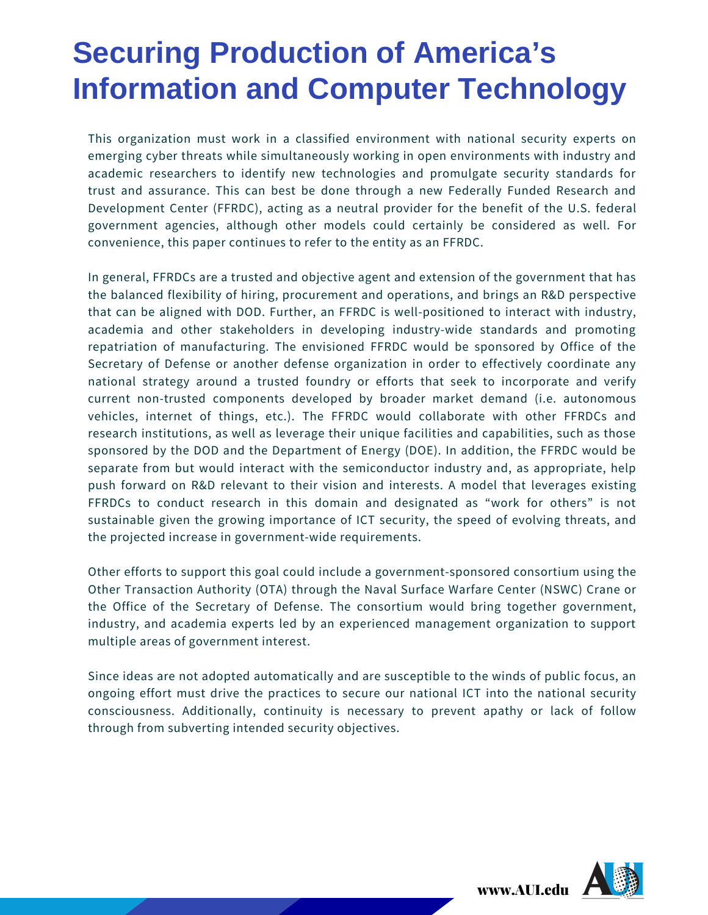This organization must work in a classified environment with national security experts on emerging cyber threats while simultaneously working in open environments with industry and academic researchers to identify new technologies and promulgate security standards for trust and assurance. This can best be done through a new Federally Funded Research and Development Center (FFRDC), acting as a neutral provider for the benefit of the U.S. federal government agencies, although other models could certainly be considered as well. For convenience, this paper continues to refer to the entity as an FFRDC.

In general, FFRDCs are a trusted and objective agent and extension of the government that has the balanced flexibility of hiring, procurement and operations, and brings an R&D perspective that can be aligned with DOD. Further, an FFRDC is well-positioned to interact with industry, academia and other stakeholders in developing industry-wide standards and promoting repatriation of manufacturing. The envisioned FFRDC would be sponsored by Office of the Secretary of Defense or another defense organization in order to effectively coordinate any national strategy around a trusted foundry or efforts that seek to incorporate and verify current non-trusted components developed by broader market demand (i.e. autonomous vehicles, internet of things, etc.). The FFRDC would collaborate with other FFRDCs and research institutions, as well as leverage their unique facilities and capabilities, such as those sponsored by the DOD and the Department of Energy (DOE). In addition, the FFRDC would be separate from but would interact with the semiconductor industry and, as appropriate, help push forward on R&D relevant to their vision and interests. A model that leverages existing FFRDCs to conduct research in this domain and designated as "work for others" is not sustainable given the growing importance of ICT security, the speed of evolving threats, and the projected increase in government-wide requirements.

Other efforts to support this goal could include a government-sponsored consortium using the Other Transaction Authority (OTA) through the Naval Surface Warfare Center (NSWC) Crane or the Office of the Secretary of Defense. The consortium would bring together government, industry, and academia experts led by an experienced management organization to support multiple areas of government interest.

Since ideas are not adopted automatically and are susceptible to the winds of public focus, an ongoing effort must drive the practices to secure our national ICT into the national security consciousness. Additionally, continuity is necessary to prevent apathy or lack of follow through from subverting intended security objectives.

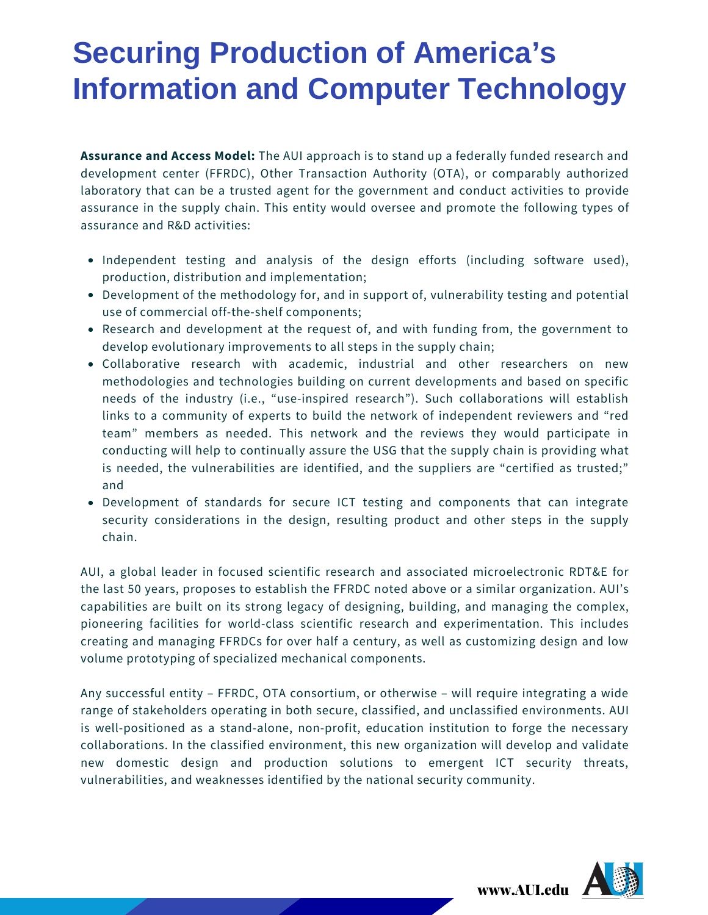**Assurance and Access Model:** The AUI approach is to stand up a federally funded research and development center (FFRDC), Other Transaction Authority (OTA), or comparably authorized laboratory that can be a trusted agent for the government and conduct activities to provide assurance in the supply chain. This entity would oversee and promote the following types of assurance and R&D activities:

- Independent testing and analysis of the design efforts (including software used), production, distribution and implementation;
- Development of the methodology for, and in support of, vulnerability testing and potential use of commercial off-the-shelf components;
- Research and development at the request of, and with funding from, the government to develop evolutionary improvements to all steps in the supply chain;
- Collaborative research with academic, industrial and other researchers on new methodologies and technologies building on current developments and based on specific needs of the industry (i.e., "use-inspired research"). Such collaborations will establish links to a community of experts to build the network of independent reviewers and "red team" members as needed. This network and the reviews they would participate in conducting will help to continually assure the USG that the supply chain is providing what is needed, the vulnerabilities are identified, and the suppliers are "certified as trusted;" and
- Development of standards for secure ICT testing and components that can integrate security considerations in the design, resulting product and other steps in the supply chain.

AUI, a global leader in focused scientific research and associated microelectronic RDT&E for the last 50 years, proposes to establish the FFRDC noted above or a similar organization. AUI's capabilities are built on its strong legacy of designing, building, and managing the complex, pioneering facilities for world-class scientific research and experimentation. This includes creating and managing FFRDCs for over half a century, as well as customizing design and low volume prototyping of specialized mechanical components.

Any successful entity – FFRDC, OTA consortium, or otherwise – will require integrating a wide range of stakeholders operating in both secure, classified, and unclassified environments. AUI is well-positioned as a stand-alone, non-profit, education institution to forge the necessary collaborations. In the classified environment, this new organization will develop and validate new domestic design and production solutions to emergent ICT security threats, vulnerabilities, and weaknesses identified by the national security community.

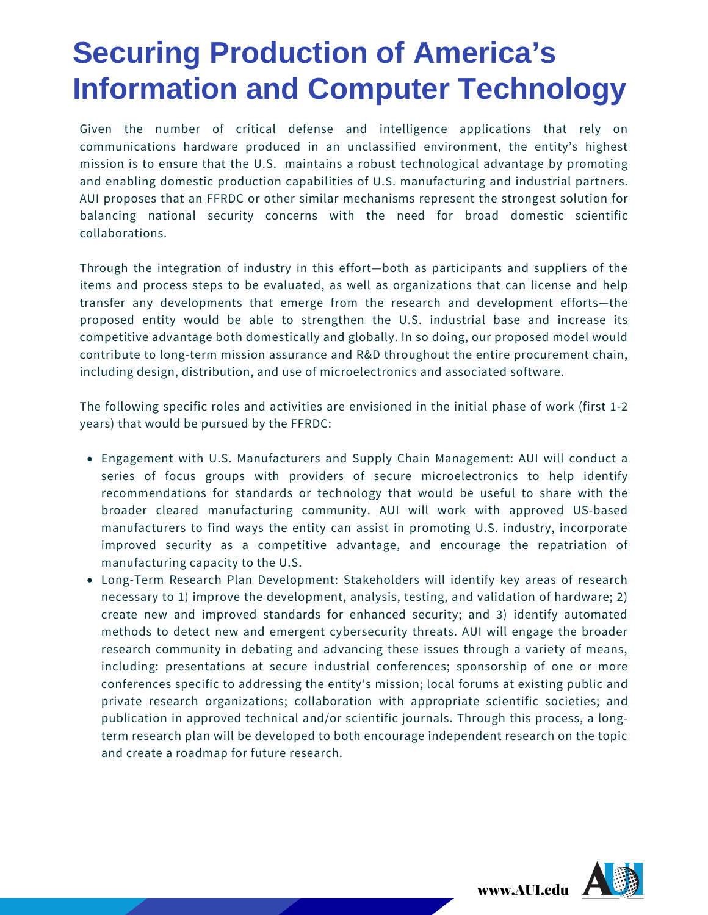Given the number of critical defense and intelligence applications that rely on communications hardware produced in an unclassified environment, the entity's highest mission is to ensure that the U.S. maintains a robust technological advantage by promoting and enabling domestic production capabilities of U.S. manufacturing and industrial partners. AUI proposes that an FFRDC or other similar mechanisms represent the strongest solution for balancing national security concerns with the need for broad domestic scientific collaborations.

Through the integration of industry in this effort—both as participants and suppliers of the items and process steps to be evaluated, as well as organizations that can license and help transfer any developments that emerge from the research and development efforts—the proposed entity would be able to strengthen the U.S. industrial base and increase its competitive advantage both domestically and globally. In so doing, our proposed model would contribute to long-term mission assurance and R&D throughout the entire procurement chain, including design, distribution, and use of microelectronics and associated software.

The following specific roles and activities are envisioned in the initial phase of work (first 1-2 years) that would be pursued by the FFRDC:

- Engagement with U.S. Manufacturers and Supply Chain Management: AUI will conduct a series of focus groups with providers of secure microelectronics to help identify recommendations for standards or technology that would be useful to share with the broader cleared manufacturing community. AUI will work with approved US-based manufacturers to find ways the entity can assist in promoting U.S. industry, incorporate improved security as a competitive advantage, and encourage the repatriation of manufacturing capacity to the U.S.
- Long-Term Research Plan Development: Stakeholders will identify key areas of research necessary to 1) improve the development, analysis, testing, and validation of hardware; 2) create new and improved standards for enhanced security; and 3) identify automated methods to detect new and emergent cybersecurity threats. AUI will engage the broader research community in debating and advancing these issues through a variety of means, including: presentations at secure industrial conferences; sponsorship of one or more conferences specific to addressing the entity's mission; local forums at existing public and private research organizations; collaboration with appropriate scientific societies; and publication in approved technical and/or scientific journals. Through this process, a longterm research plan will be developed to both encourage independent research on the topic and create a roadmap for future research.

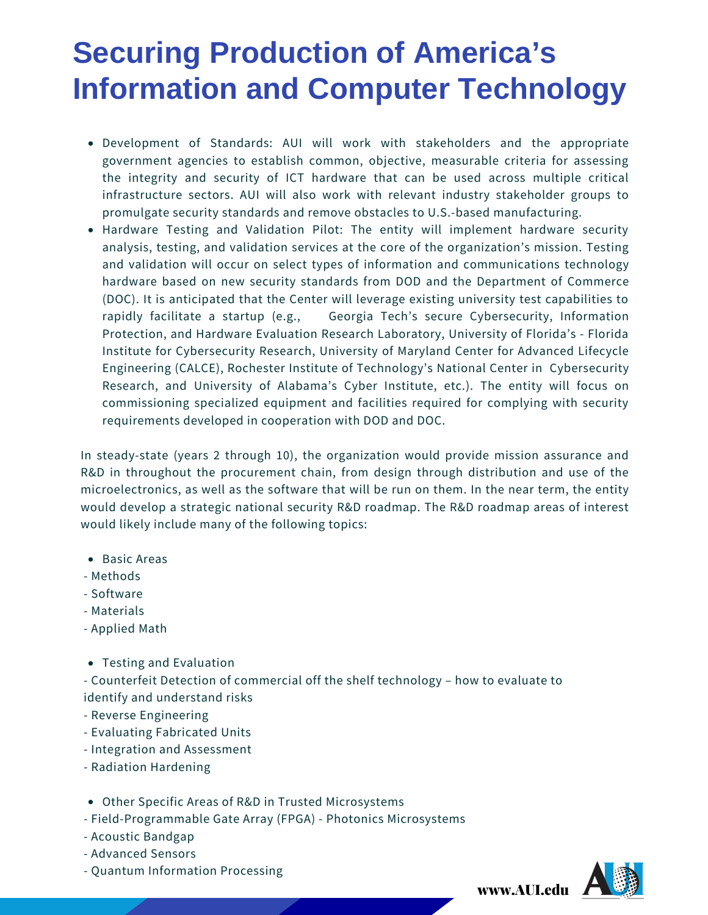- Development of Standards: AUI will work with stakeholders and the appropriate government agencies to establish common, objective, measurable criteria for assessing the integrity and security of ICT hardware that can be used across multiple critical infrastructure sectors. AUI will also work with relevant industry stakeholder groups to promulgate security standards and remove obstacles to U.S.-based manufacturing.
- Hardware Testing and Validation Pilot: The entity will implement hardware security analysis, testing, and validation services at the core of the organization's mission. Testing and validation will occur on select types of information and communications technology hardware based on new security standards from DOD and the Department of Commerce (DOC). It is anticipated that the Center will leverage existing university test capabilities to rapidly facilitate a startup (e.g., Georgia Tech's secure Cybersecurity, Information Protection, and Hardware Evaluation Research Laboratory, University of Florida's - Florida Institute for Cybersecurity Research, University of Maryland Center for Advanced Lifecycle Engineering (CALCE), Rochester Institute of Technology's National Center in Cybersecurity Research, and University of Alabama's Cyber Institute, etc.). The entity will focus on commissioning specialized equipment and facilities required for complying with security requirements developed in cooperation with DOD and DOC.

In steady-state (years 2 through 10), the organization would provide mission assurance and R&D in throughout the procurement chain, from design through distribution and use of the microelectronics, as well as the software that will be run on them. In the near term, the entity would develop a strategic national security R&D roadmap. The R&D roadmap areas of interest would likely include many of the following topics:

- Basic Areas
- Methods
- Software
- Materials
- Applied Math
- Testing and Evaluation

- Counterfeit Detection of commercial off the shelf technology – how to evaluate to identify and understand risks

- Reverse Engineering
- Evaluating Fabricated Units
- Integration and Assessment
- Radiation Hardening
- Other Specific Areas of R&D in Trusted Microsystems
- Field-Programmable Gate Array (FPGA) Photonics Microsystems
- Acoustic Bandgap
- Advanced Sensors
- Quantum Information Processing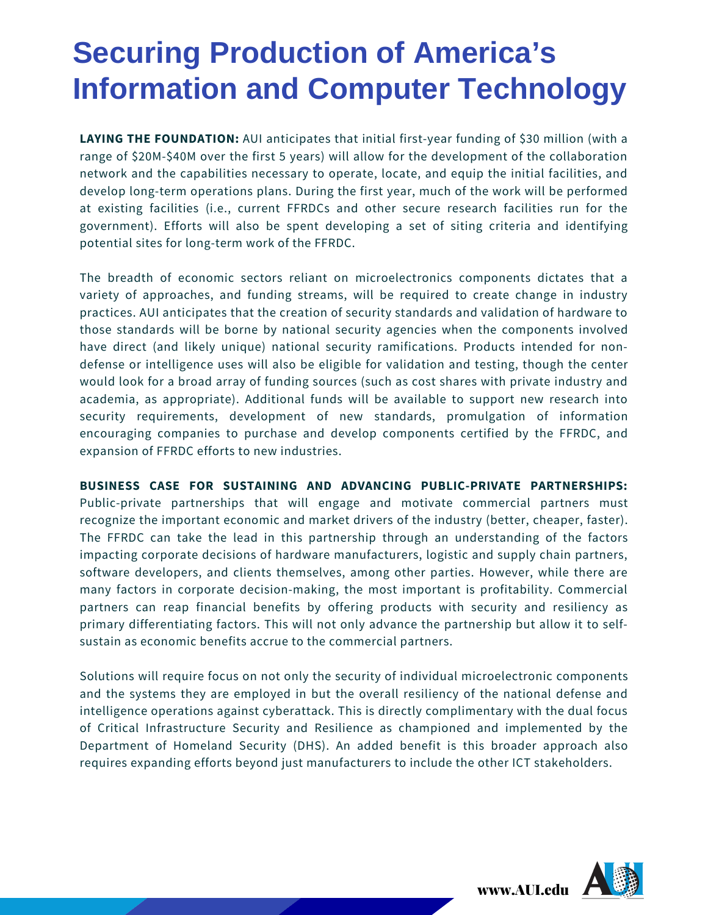**LAYING THE FOUNDATION:** AUI anticipates that initial first-year funding of \$30 million (with a range of \$20M-\$40M over the first 5 years) will allow for the development of the collaboration network and the capabilities necessary to operate, locate, and equip the initial facilities, and develop long-term operations plans. During the first year, much of the work will be performed at existing facilities (i.e., current FFRDCs and other secure research facilities run for the government). Efforts will also be spent developing a set of siting criteria and identifying potential sites for long-term work of the FFRDC.

The breadth of economic sectors reliant on microelectronics components dictates that a variety of approaches, and funding streams, will be required to create change in industry practices. AUI anticipates that the creation of security standards and validation of hardware to those standards will be borne by national security agencies when the components involved have direct (and likely unique) national security ramifications. Products intended for nondefense or intelligence uses will also be eligible for validation and testing, though the center would look for a broad array of funding sources (such as cost shares with private industry and academia, as appropriate). Additional funds will be available to support new research into security requirements, development of new standards, promulgation of information encouraging companies to purchase and develop components certified by the FFRDC, and expansion of FFRDC efforts to new industries.

#### **BUSINESS CASE FOR SUSTAINING AND ADVANCING PUBLIC-PRIVATE PARTNERSHIPS:**

Public-private partnerships that will engage and motivate commercial partners must recognize the important economic and market drivers of the industry (better, cheaper, faster). The FFRDC can take the lead in this partnership through an understanding of the factors impacting corporate decisions of hardware manufacturers, logistic and supply chain partners, software developers, and clients themselves, among other parties. However, while there are many factors in corporate decision-making, the most important is profitability. Commercial partners can reap financial benefits by offering products with security and resiliency as primary differentiating factors. This will not only advance the partnership but allow it to selfsustain as economic benefits accrue to the commercial partners.

Solutions will require focus on not only the security of individual microelectronic components and the systems they are employed in but the overall resiliency of the national defense and intelligence operations against cyberattack. This is directly complimentary with the dual focus of Critical Infrastructure Security and Resilience as championed and implemented by the Department of Homeland Security (DHS). An added benefit is this broader approach also requires expanding efforts beyond just manufacturers to include the other ICT stakeholders.

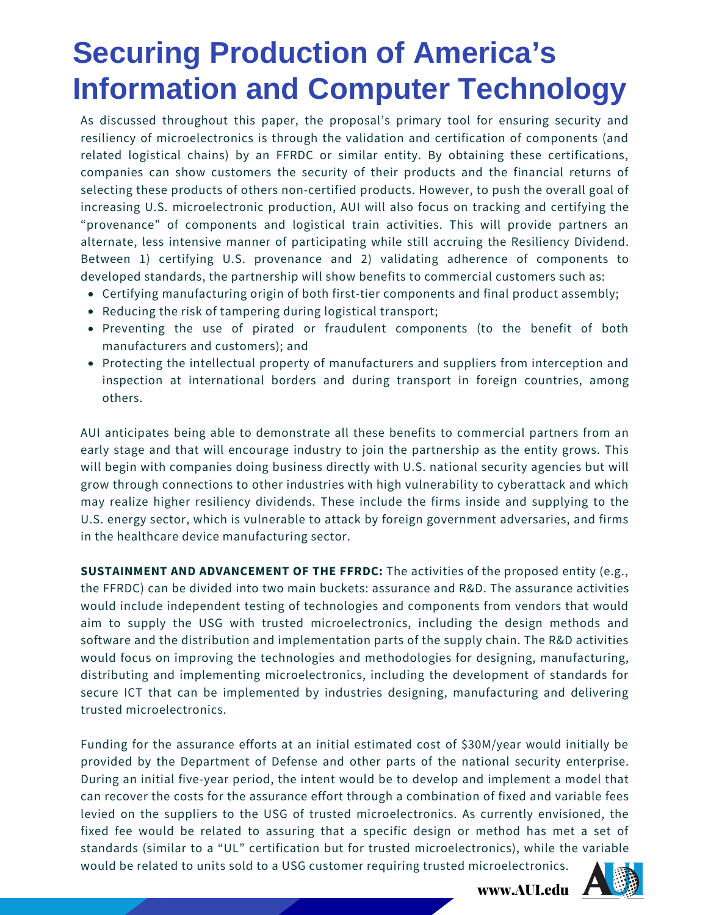As discussed throughout this paper, the proposal's primary tool for ensuring security and resiliency of microelectronics is through the validation and certification of components (and related logistical chains) by an FFRDC or similar entity. By obtaining these certifications, companies can show customers the security of their products and the financial returns of selecting these products of others non-certified products. However, to push the overall goal of increasing U.S. microelectronic production, AUI will also focus on tracking and certifying the "provenance" of components and logistical train activities. This will provide partners an alternate, less intensive manner of participating while still accruing the Resiliency Dividend. Between 1) certifying U.S. provenance and 2) validating adherence of components to developed standards, the partnership will show benefits to commercial customers such as:

- Certifying manufacturing origin of both first-tier components and final product assembly;
- Reducing the risk of tampering during logistical transport;
- Preventing the use of pirated or fraudulent components (to the benefit of both manufacturers and customers); and
- Protecting the intellectual property of manufacturers and suppliers from interception and inspection at international borders and during transport in foreign countries, among others.

AUI anticipates being able to demonstrate all these benefits to commercial partners from an early stage and that will encourage industry to join the partnership as the entity grows. This will begin with companies doing business directly with U.S. national security agencies but will grow through connections to other industries with high vulnerability to cyberattack and which may realize higher resiliency dividends. These include the firms inside and supplying to the U.S. energy sector, which is vulnerable to attack by foreign government adversaries, and firms in the healthcare device manufacturing sector.

**SUSTAINMENT AND ADVANCEMENT OF THE FFRDC:** The activities of the proposed entity (e.g., the FFRDC) can be divided into two main buckets: assurance and R&D. The assurance activities would include independent testing of technologies and components from vendors that would aim to supply the USG with trusted microelectronics, including the design methods and software and the distribution and implementation parts of the supply chain. The R&D activities would focus on improving the technologies and methodologies for designing, manufacturing, distributing and implementing microelectronics, including the development of standards for secure ICT that can be implemented by industries designing, manufacturing and delivering trusted microelectronics.

Funding for the assurance efforts at an initial estimated cost of \$30M/year would initially be provided by the Department of Defense and other parts of the national security enterprise. During an initial five-year period, the intent would be to develop and implement a model that can recover the costs for the assurance effort through a combination of fixed and variable fees levied on the suppliers to the USG of trusted microelectronics. As currently envisioned, the fixed fee would be related to assuring that a specific design or method has met a set of standards (similar to a "UL" certification but for trusted microelectronics), while the variable would be related to units sold to a USG customer requiring trusted microelectronics.

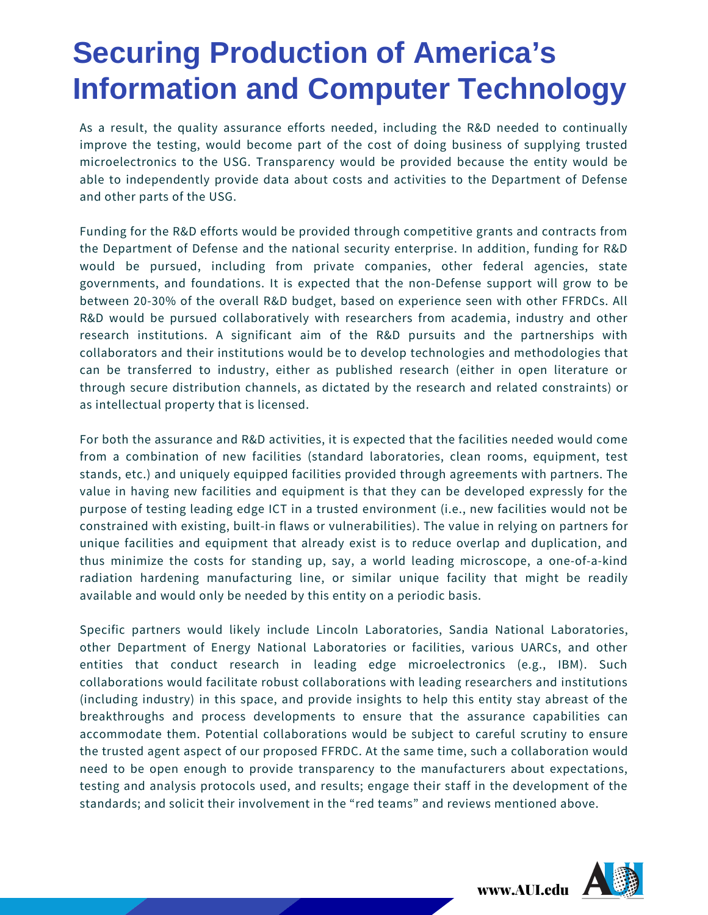As a result, the quality assurance efforts needed, including the R&D needed to continually improve the testing, would become part of the cost of doing business of supplying trusted microelectronics to the USG. Transparency would be provided because the entity would be able to independently provide data about costs and activities to the Department of Defense and other parts of the USG.

Funding for the R&D efforts would be provided through competitive grants and contracts from the Department of Defense and the national security enterprise. In addition, funding for R&D would be pursued, including from private companies, other federal agencies, state governments, and foundations. It is expected that the non-Defense support will grow to be between 20-30% of the overall R&D budget, based on experience seen with other FFRDCs. All R&D would be pursued collaboratively with researchers from academia, industry and other research institutions. A significant aim of the R&D pursuits and the partnerships with collaborators and their institutions would be to develop technologies and methodologies that can be transferred to industry, either as published research (either in open literature or through secure distribution channels, as dictated by the research and related constraints) or as intellectual property that is licensed.

For both the assurance and R&D activities, it is expected that the facilities needed would come from a combination of new facilities (standard laboratories, clean rooms, equipment, test stands, etc.) and uniquely equipped facilities provided through agreements with partners. The value in having new facilities and equipment is that they can be developed expressly for the purpose of testing leading edge ICT in a trusted environment (i.e., new facilities would not be constrained with existing, built-in flaws or vulnerabilities). The value in relying on partners for unique facilities and equipment that already exist is to reduce overlap and duplication, and thus minimize the costs for standing up, say, a world leading microscope, a one-of-a-kind radiation hardening manufacturing line, or similar unique facility that might be readily available and would only be needed by this entity on a periodic basis.

Specific partners would likely include Lincoln Laboratories, Sandia National Laboratories, other Department of Energy National Laboratories or facilities, various UARCs, and other entities that conduct research in leading edge microelectronics (e.g., IBM). Such collaborations would facilitate robust collaborations with leading researchers and institutions (including industry) in this space, and provide insights to help this entity stay abreast of the breakthroughs and process developments to ensure that the assurance capabilities can accommodate them. Potential collaborations would be subject to careful scrutiny to ensure the trusted agent aspect of our proposed FFRDC. At the same time, such a collaboration would need to be open enough to provide transparency to the manufacturers about expectations, testing and analysis protocols used, and results; engage their staff in the development of the standards; and solicit their involvement in the "red teams" and reviews mentioned above.

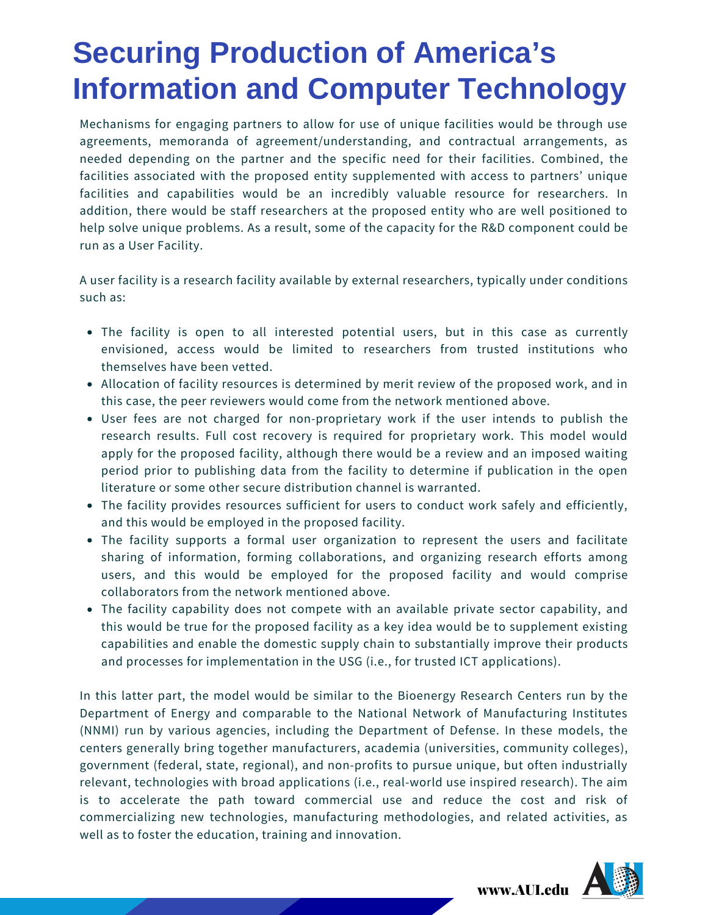Mechanisms for engaging partners to allow for use of unique facilities would be through use agreements, memoranda of agreement/understanding, and contractual arrangements, as needed depending on the partner and the specific need for their facilities. Combined, the facilities associated with the proposed entity supplemented with access to partners' unique facilities and capabilities would be an incredibly valuable resource for researchers. In addition, there would be staff researchers at the proposed entity who are well positioned to help solve unique problems. As a result, some of the capacity for the R&D component could be run as a User Facility.

A user facility is a research facility available by external researchers, typically under conditions such as:

- The facility is open to all interested potential users, but in this case as currently envisioned, access would be limited to researchers from trusted institutions who themselves have been vetted.
- Allocation of facility resources is determined by merit review of the proposed work, and in this case, the peer reviewers would come from the network mentioned above.
- User fees are not charged for non-proprietary work if the user intends to publish the research results. Full cost recovery is required for proprietary work. This model would apply for the proposed facility, although there would be a review and an imposed waiting period prior to publishing data from the facility to determine if publication in the open literature or some other secure distribution channel is warranted.
- The facility provides resources sufficient for users to conduct work safely and efficiently, and this would be employed in the proposed facility.
- The facility supports a formal user organization to represent the users and facilitate sharing of information, forming collaborations, and organizing research efforts among users, and this would be employed for the proposed facility and would comprise collaborators from the network mentioned above.
- The facility capability does not compete with an available private sector capability, and this would be true for the proposed facility as a key idea would be to supplement existing capabilities and enable the domestic supply chain to substantially improve their products and processes for implementation in the USG (i.e., for trusted ICT applications).

In this latter part, the model would be similar to the Bioenergy Research Centers run by the Department of Energy and comparable to the National Network of Manufacturing Institutes (NNMI) run by various agencies, including the Department of Defense. In these models, the centers generally bring together manufacturers, academia (universities, community colleges), government (federal, state, regional), and non-profits to pursue unique, but often industrially relevant, technologies with broad applications (i.e., real-world use inspired research). The aim is to accelerate the path toward commercial use and reduce the cost and risk of commercializing new technologies, manufacturing methodologies, and related activities, as well as to foster the education, training and innovation.